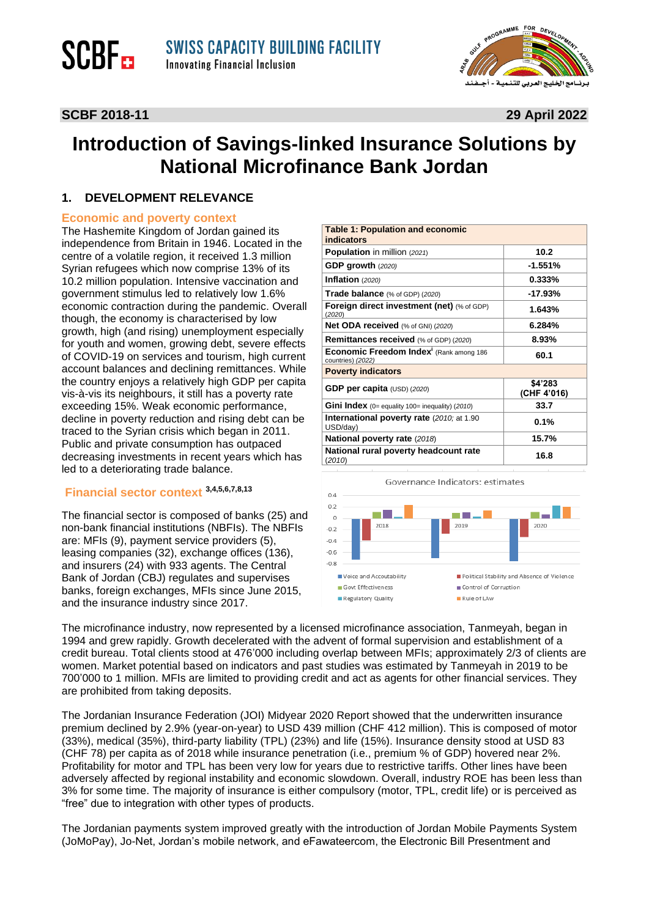

#### **SCBF 2018-11 29 April 2022**

**SCBF**<sub>ED</sub>

### **Introduction of Savings-linked Insurance Solutions by National Microfinance Bank Jordan**

#### **1. DEVELOPMENT RELEVANCE**

#### **Economic and poverty context**

The Hashemite Kingdom of Jordan gained its independence from Britain in 1946. Located in the centre of a volatile region, it received 1.3 million Syrian refugees which now comprise 13% of its 10.2 million population. Intensive vaccination and government stimulus led to relatively low 1.6% economic contraction during the pandemic. Overall though, the economy is characterised by low growth, high (and rising) unemployment especially for youth and women, growing debt, severe effects of COVID-19 on services and tourism, high current account balances and declining remittances. While the country enjoys a relatively high GDP per capita vis-à-vis its neighbours, it still has a poverty rate exceeding 15%. Weak economic performance, decline in poverty reduction and rising debt can be traced to the Syrian crisis which began in 2011. Public and private consumption has outpaced decreasing investments in recent years which has led to a deteriorating trade balance.

#### **Financial sector context 3,4,5,6,7,8,13**

The financial sector is composed of banks (25) and non-bank financial institutions (NBFIs). The NBFIs are: MFIs (9), payment service providers (5), leasing companies (32), exchange offices (136), and insurers (24) with 933 agents. The Central Bank of Jordan (CBJ) regulates and supervises banks, foreign exchanges, MFIs since June 2015, and the insurance industry since 2017.

| <b>Table 1: Population and economic</b><br>indicators                    |                        |
|--------------------------------------------------------------------------|------------------------|
| Population in million (2021)                                             | 10.2                   |
| GDP growth $(2020)$                                                      | -1.551%                |
| Inflation $(2020)$                                                       | $0.333\%$              |
| Trade balance (% of GDP) (2020)                                          | -17.93%                |
| Foreign direct investment (net) (% of GDP)<br>(2020)                     | 1.643%                 |
| Net ODA received (% of GNI) (2020)                                       | 6.284%                 |
| <b>Remittances received</b> (% of GDP) (2020)                            | 8.93%                  |
| Economic Freedom Index <sup>i</sup> (Rank among 186<br>countries) (2022) | 60.1                   |
| <b>Poverty indicators</b>                                                |                        |
| GDP per capita $(USD)$ (2020)                                            | \$4'283<br>(CHF 4'016) |
| <b>Gini Index</b> (0= equality 100= inequality) (2010)                   | 33.7                   |
| <b>International poverty rate (2010; at 1.90)</b><br>USD/day)            | 0.1%                   |
| <b>National poverty rate (2018)</b>                                      | 15.7%                  |
| National rural poverty headcount rate<br>(2010)                          | 16.8                   |



The microfinance industry, now represented by a licensed microfinance association, Tanmeyah, began in 1994 and grew rapidly. Growth decelerated with the advent of formal supervision and establishment of a credit bureau. Total clients stood at 476'000 including overlap between MFIs; approximately 2/3 of clients are women. Market potential based on indicators and past studies was estimated by Tanmeyah in 2019 to be 700'000 to 1 million. MFIs are limited to providing credit and act as agents for other financial services. They are prohibited from taking deposits.

The Jordanian Insurance Federation (JOI) Midyear 2020 Report showed that the underwritten insurance premium declined by 2.9% (year-on-year) to USD 439 million (CHF 412 million). This is composed of motor (33%), medical (35%), third-party liability (TPL) (23%) and life (15%). Insurance density stood at USD 83 (CHF 78) per capita as of 2018 while insurance penetration (i.e., premium % of GDP) hovered near 2%. Profitability for motor and TPL has been very low for years due to restrictive tariffs. Other lines have been adversely affected by regional instability and economic slowdown. Overall, industry ROE has been less than 3% for some time. The majority of insurance is either compulsory (motor, TPL, credit life) or is perceived as "free" due to integration with other types of products.

The Jordanian payments system improved greatly with the introduction of Jordan Mobile Payments System (JoMoPay), Jo-Net, Jordan's mobile network, and eFawateercom, the Electronic Bill Presentment and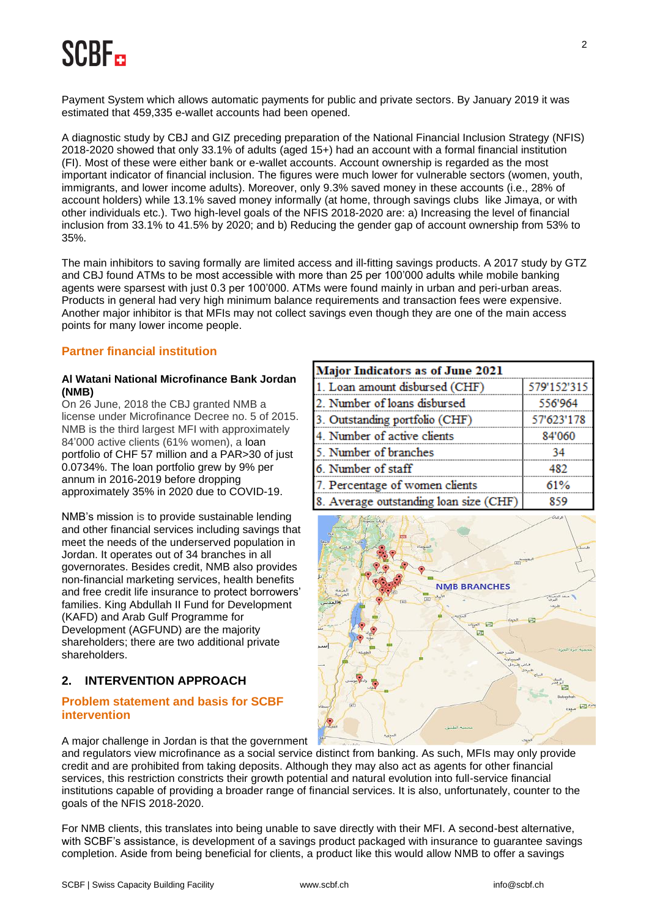# **SCRE.**

Payment System which allows automatic payments for public and private sectors. By January 2019 it was estimated that 459,335 e-wallet accounts had been opened.

A diagnostic study by CBJ and GIZ preceding preparation of the National Financial Inclusion Strategy (NFIS) 2018-2020 showed that only 33.1% of adults (aged 15+) had an account with a formal financial institution (FI). Most of these were either bank or e-wallet accounts. Account ownership is regarded as the most important indicator of financial inclusion. The figures were much lower for vulnerable sectors (women, youth, immigrants, and lower income adults). Moreover, only 9.3% saved money in these accounts (i.e., 28% of account holders) while 13.1% saved money informally (at home, through savings clubs like Jimaya, or with other individuals etc.). Two high-level goals of the NFIS 2018-2020 are: a) Increasing the level of financial inclusion from 33.1% to 41.5% by 2020; and b) Reducing the gender gap of account ownership from 53% to 35%.

The main inhibitors to saving formally are limited access and ill-fitting savings products. A 2017 study by GTZ and CBJ found ATMs to be most accessible with more than 25 per 100'000 adults while mobile banking agents were sparsest with just 0.3 per 100'000. ATMs were found mainly in urban and peri-urban areas. Products in general had very high minimum balance requirements and transaction fees were expensive. Another major inhibitor is that MFIs may not collect savings even though they are one of the main access points for many lower income people.

#### **Partner financial institution**

#### **Al Watani National Microfinance Bank Jordan (NMB)**

On 26 June, 2018 the CBJ granted NMB a license under Microfinance Decree no. 5 of 2015. NMB is the third largest MFI with approximately 84'000 active clients (61% women), a loan portfolio of CHF 57 million and a PAR>30 of just 0.0734%. The loan portfolio grew by 9% per annum in 2016-2019 before dropping approximately 35% in 2020 due to COVID-19.

NMB's mission is to provide sustainable lending and other financial services including savings that meet the needs of the underserved population in Jordan. It operates out of 34 branches in all governorates. Besides credit, NMB also provides non-financial marketing services, health benefits and free credit life insurance to protect borrowers' families. King Abdullah II Fund for Development (KAFD) and Arab Gulf Programme for Development (AGFUND) are the majority shareholders; there are two additional private shareholders.

### **2. INTERVENTION APPROACH**

#### **Problem statement and basis for SCBF intervention**

| Major Indicators as of June 2021       |             |  |
|----------------------------------------|-------------|--|
| 1. Loan amount disbursed (CHF)         | 579'152'315 |  |
| 2. Number of loans disbursed           | 556'964     |  |
| 3. Outstanding portfolio (CHF)         | 57'623'178  |  |
| 4. Number of active clients            | 84'060      |  |
| 5. Number of branches                  | 34          |  |
| 6. Number of staff                     | 482         |  |
| 7. Percentage of women clients         | 61%         |  |
| 8. Average outstanding loan size (CHF) | 859         |  |



A major challenge in Jordan is that the government

and regulators view microfinance as a social service distinct from banking. As such, MFIs may only provide credit and are prohibited from taking deposits. Although they may also act as agents for other financial services, this restriction constricts their growth potential and natural evolution into full-service financial institutions capable of providing a broader range of financial services. It is also, unfortunately, counter to the goals of the NFIS 2018-2020.

For NMB clients, this translates into being unable to save directly with their MFI. A second-best alternative, with SCBF's assistance, is development of a savings product packaged with insurance to guarantee savings completion. Aside from being beneficial for clients, a product like this would allow NMB to offer a savings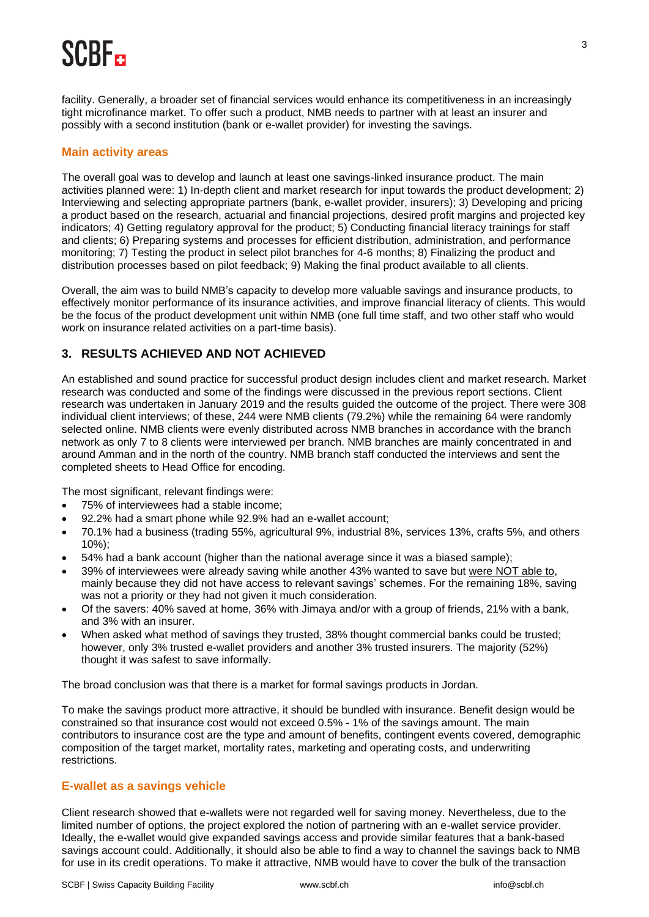## SCRE.

facility. Generally, a broader set of financial services would enhance its competitiveness in an increasingly tight microfinance market. To offer such a product, NMB needs to partner with at least an insurer and possibly with a second institution (bank or e-wallet provider) for investing the savings.

#### **Main activity areas**

The overall goal was to develop and launch at least one savings-linked insurance product. The main activities planned were: 1) In-depth client and market research for input towards the product development; 2) Interviewing and selecting appropriate partners (bank, e-wallet provider, insurers); 3) Developing and pricing a product based on the research, actuarial and financial projections, desired profit margins and projected key indicators; 4) Getting regulatory approval for the product; 5) Conducting financial literacy trainings for staff and clients; 6) Preparing systems and processes for efficient distribution, administration, and performance monitoring; 7) Testing the product in select pilot branches for 4-6 months; 8) Finalizing the product and distribution processes based on pilot feedback; 9) Making the final product available to all clients.

Overall, the aim was to build NMB's capacity to develop more valuable savings and insurance products, to effectively monitor performance of its insurance activities, and improve financial literacy of clients. This would be the focus of the product development unit within NMB (one full time staff, and two other staff who would work on insurance related activities on a part-time basis).

#### **3. RESULTS ACHIEVED AND NOT ACHIEVED**

An established and sound practice for successful product design includes client and market research. Market research was conducted and some of the findings were discussed in the previous report sections. Client research was undertaken in January 2019 and the results guided the outcome of the project. There were 308 individual client interviews; of these, 244 were NMB clients (79.2%) while the remaining 64 were randomly selected online. NMB clients were evenly distributed across NMB branches in accordance with the branch network as only 7 to 8 clients were interviewed per branch. NMB branches are mainly concentrated in and around Amman and in the north of the country. NMB branch staff conducted the interviews and sent the completed sheets to Head Office for encoding.

The most significant, relevant findings were:

- 75% of interviewees had a stable income;
- 92.2% had a smart phone while 92.9% had an e-wallet account;
- 70.1% had a business (trading 55%, agricultural 9%, industrial 8%, services 13%, crafts 5%, and others 10%);
- 54% had a bank account (higher than the national average since it was a biased sample);
- 39% of interviewees were already saving while another 43% wanted to save but were NOT able to, mainly because they did not have access to relevant savings' schemes. For the remaining 18%, saving was not a priority or they had not given it much consideration.
- Of the savers: 40% saved at home, 36% with Jimaya and/or with a group of friends, 21% with a bank, and 3% with an insurer.
- When asked what method of savings they trusted, 38% thought commercial banks could be trusted; however, only 3% trusted e-wallet providers and another 3% trusted insurers. The majority (52%) thought it was safest to save informally.

The broad conclusion was that there is a market for formal savings products in Jordan.

To make the savings product more attractive, it should be bundled with insurance. Benefit design would be constrained so that insurance cost would not exceed 0.5% - 1% of the savings amount. The main contributors to insurance cost are the type and amount of benefits, contingent events covered, demographic composition of the target market, mortality rates, marketing and operating costs, and underwriting restrictions.

#### **E-wallet as a savings vehicle**

Client research showed that e-wallets were not regarded well for saving money. Nevertheless, due to the limited number of options, the project explored the notion of partnering with an e-wallet service provider. Ideally, the e-wallet would give expanded savings access and provide similar features that a bank-based savings account could. Additionally, it should also be able to find a way to channel the savings back to NMB for use in its credit operations. To make it attractive, NMB would have to cover the bulk of the transaction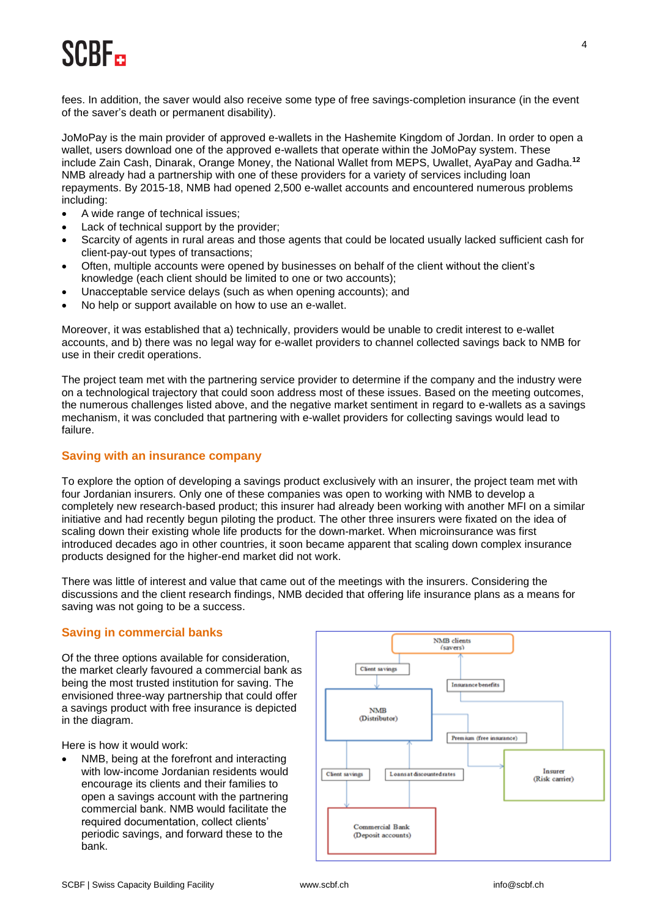fees. In addition, the saver would also receive some type of free savings-completion insurance (in the event of the saver's death or permanent disability).

JoMoPay is the main provider of approved e-wallets in the Hashemite Kingdom of Jordan. In order to open a wallet, users download one of the approved e-wallets that operate within the JoMoPay system. These include Zain Cash, Dinarak, Orange Money, the National Wallet from MEPS, Uwallet, AyaPay and Gadha.**<sup>12</sup>** NMB already had a partnership with one of these providers for a variety of services including loan repayments. By 2015-18, NMB had opened 2,500 e-wallet accounts and encountered numerous problems including:

- A wide range of technical issues;
- Lack of technical support by the provider;
- Scarcity of agents in rural areas and those agents that could be located usually lacked sufficient cash for client-pay-out types of transactions;
- Often, multiple accounts were opened by businesses on behalf of the client without the client's knowledge (each client should be limited to one or two accounts);
- Unacceptable service delays (such as when opening accounts); and
- No help or support available on how to use an e-wallet.

Moreover, it was established that a) technically, providers would be unable to credit interest to e-wallet accounts, and b) there was no legal way for e-wallet providers to channel collected savings back to NMB for use in their credit operations.

The project team met with the partnering service provider to determine if the company and the industry were on a technological trajectory that could soon address most of these issues. Based on the meeting outcomes, the numerous challenges listed above, and the negative market sentiment in regard to e-wallets as a savings mechanism, it was concluded that partnering with e-wallet providers for collecting savings would lead to failure.

#### **Saving with an insurance company**

To explore the option of developing a savings product exclusively with an insurer, the project team met with four Jordanian insurers. Only one of these companies was open to working with NMB to develop a completely new research-based product; this insurer had already been working with another MFI on a similar initiative and had recently begun piloting the product. The other three insurers were fixated on the idea of scaling down their existing whole life products for the down-market. When microinsurance was first introduced decades ago in other countries, it soon became apparent that scaling down complex insurance products designed for the higher-end market did not work.

There was little of interest and value that came out of the meetings with the insurers. Considering the discussions and the client research findings, NMB decided that offering life insurance plans as a means for saving was not going to be a success.

#### **Saving in commercial banks**

Of the three options available for consideration, the market clearly favoured a commercial bank as being the most trusted institution for saving. The envisioned three-way partnership that could offer a savings product with free insurance is depicted in the diagram.

Here is how it would work:

NMB, being at the forefront and interacting with low-income Jordanian residents would encourage its clients and their families to open a savings account with the partnering commercial bank. NMB would facilitate the required documentation, collect clients' periodic savings, and forward these to the bank.